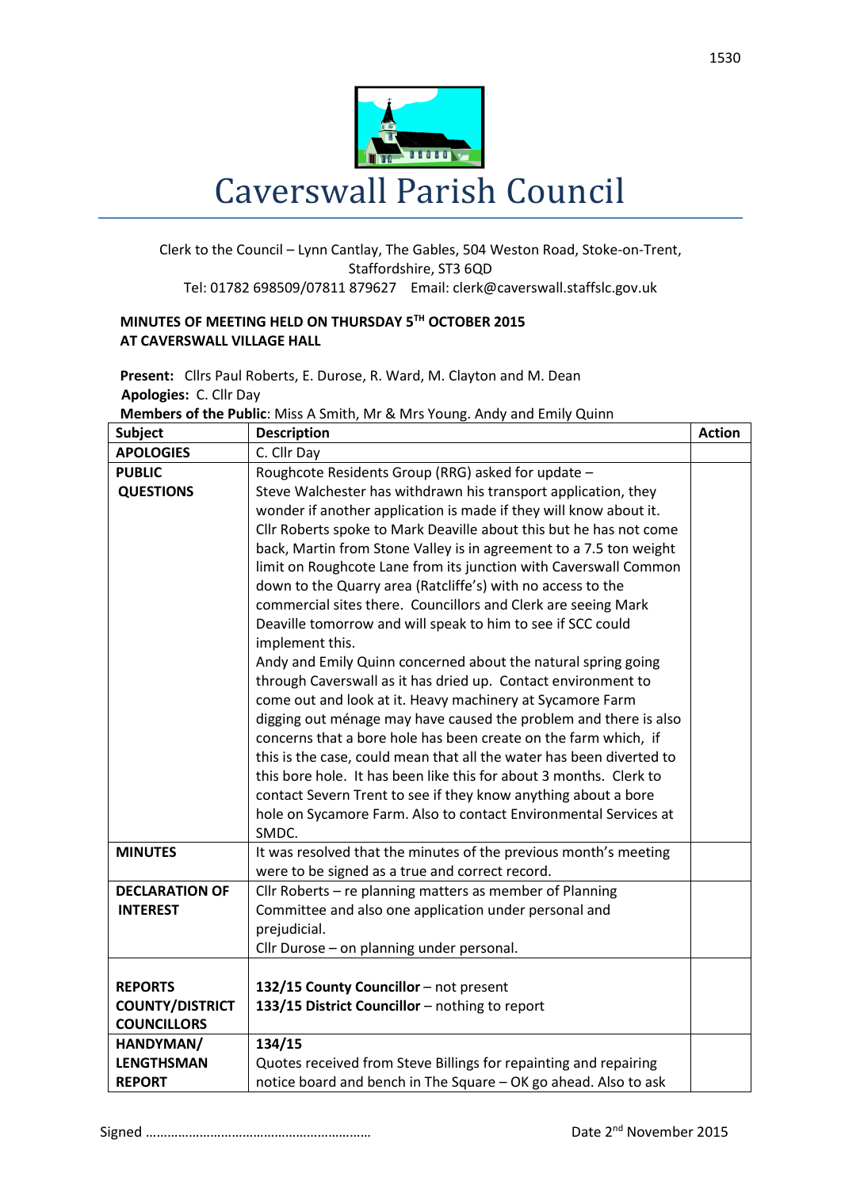

## Clerk to the Council – Lynn Cantlay, The Gables, 504 Weston Road, Stoke-on-Trent, Staffordshire, ST3 6QD Tel: 01782 698509/07811 879627 Email: clerk@caverswall.staffslc.gov.uk

## **MINUTES OF MEETING HELD ON THURSDAY 5 TH OCTOBER 2015 AT CAVERSWALL VILLAGE HALL**

**Present:** Cllrs Paul Roberts, E. Durose, R. Ward, M. Clayton and M. Dean  **Apologies:** C. Cllr Day

**Members of the Public**: Miss A Smith, Mr & Mrs Young. Andy and Emily Quinn

| <b>Subject</b>         | <b>Description</b>                                                             | <b>Action</b> |  |  |
|------------------------|--------------------------------------------------------------------------------|---------------|--|--|
| <b>APOLOGIES</b>       | C. Cllr Day                                                                    |               |  |  |
| <b>PUBLIC</b>          | Roughcote Residents Group (RRG) asked for update -                             |               |  |  |
| <b>QUESTIONS</b>       | Steve Walchester has withdrawn his transport application, they                 |               |  |  |
|                        | wonder if another application is made if they will know about it.              |               |  |  |
|                        | Cllr Roberts spoke to Mark Deaville about this but he has not come             |               |  |  |
|                        | back, Martin from Stone Valley is in agreement to a 7.5 ton weight             |               |  |  |
|                        | limit on Roughcote Lane from its junction with Caverswall Common               |               |  |  |
|                        | down to the Quarry area (Ratcliffe's) with no access to the                    |               |  |  |
|                        | commercial sites there. Councillors and Clerk are seeing Mark                  |               |  |  |
|                        | Deaville tomorrow and will speak to him to see if SCC could<br>implement this. |               |  |  |
|                        | Andy and Emily Quinn concerned about the natural spring going                  |               |  |  |
|                        | through Caverswall as it has dried up. Contact environment to                  |               |  |  |
|                        | come out and look at it. Heavy machinery at Sycamore Farm                      |               |  |  |
|                        | digging out ménage may have caused the problem and there is also               |               |  |  |
|                        | concerns that a bore hole has been create on the farm which, if                |               |  |  |
|                        | this is the case, could mean that all the water has been diverted to           |               |  |  |
|                        | this bore hole. It has been like this for about 3 months. Clerk to             |               |  |  |
|                        | contact Severn Trent to see if they know anything about a bore                 |               |  |  |
|                        | hole on Sycamore Farm. Also to contact Environmental Services at               |               |  |  |
|                        | SMDC.                                                                          |               |  |  |
| <b>MINUTES</b>         | It was resolved that the minutes of the previous month's meeting               |               |  |  |
|                        | were to be signed as a true and correct record.                                |               |  |  |
| <b>DECLARATION OF</b>  | Cllr Roberts - re planning matters as member of Planning                       |               |  |  |
| <b>INTEREST</b>        | Committee and also one application under personal and                          |               |  |  |
|                        | prejudicial.                                                                   |               |  |  |
|                        | Cllr Durose - on planning under personal.                                      |               |  |  |
|                        |                                                                                |               |  |  |
| <b>REPORTS</b>         | 132/15 County Councillor - not present                                         |               |  |  |
| <b>COUNTY/DISTRICT</b> | 133/15 District Councillor - nothing to report                                 |               |  |  |
| <b>COUNCILLORS</b>     |                                                                                |               |  |  |
| HANDYMAN/              | 134/15                                                                         |               |  |  |
| <b>LENGTHSMAN</b>      | Quotes received from Steve Billings for repainting and repairing               |               |  |  |
| <b>REPORT</b>          | notice board and bench in The Square - OK go ahead. Also to ask                |               |  |  |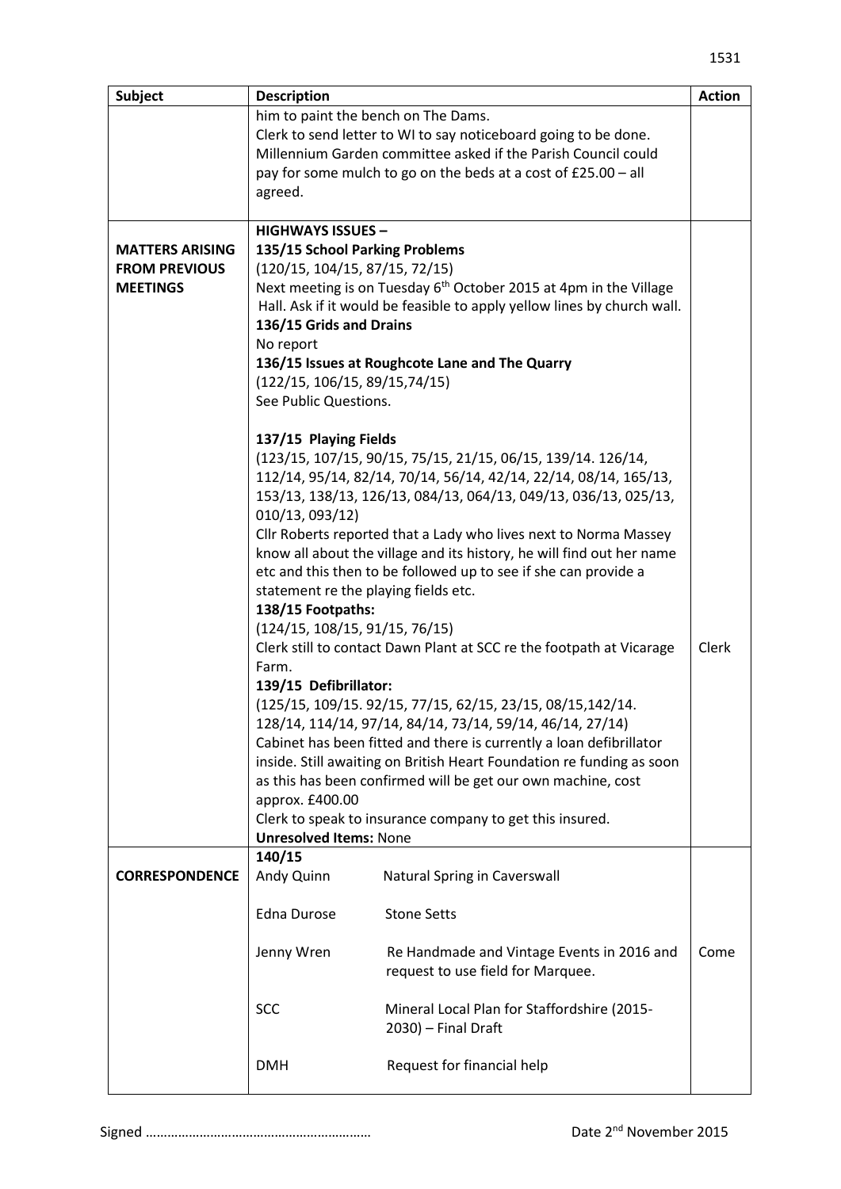| <b>Subject</b>                          | <b>Description</b>                                                                                              |                                                                       | <b>Action</b> |  |  |
|-----------------------------------------|-----------------------------------------------------------------------------------------------------------------|-----------------------------------------------------------------------|---------------|--|--|
|                                         | him to paint the bench on The Dams.                                                                             |                                                                       |               |  |  |
|                                         | Clerk to send letter to WI to say noticeboard going to be done.                                                 |                                                                       |               |  |  |
|                                         | Millennium Garden committee asked if the Parish Council could                                                   |                                                                       |               |  |  |
|                                         | pay for some mulch to go on the beds at a cost of £25.00 - all                                                  |                                                                       |               |  |  |
|                                         | agreed.                                                                                                         |                                                                       |               |  |  |
|                                         |                                                                                                                 |                                                                       |               |  |  |
|                                         | <b>HIGHWAYS ISSUES -</b>                                                                                        |                                                                       |               |  |  |
| <b>MATTERS ARISING</b>                  | 135/15 School Parking Problems                                                                                  |                                                                       |               |  |  |
| <b>FROM PREVIOUS</b><br><b>MEETINGS</b> | (120/15, 104/15, 87/15, 72/15)<br>Next meeting is on Tuesday 6 <sup>th</sup> October 2015 at 4pm in the Village |                                                                       |               |  |  |
|                                         | Hall. Ask if it would be feasible to apply yellow lines by church wall.                                         |                                                                       |               |  |  |
|                                         | 136/15 Grids and Drains                                                                                         |                                                                       |               |  |  |
|                                         | No report                                                                                                       |                                                                       |               |  |  |
|                                         | 136/15 Issues at Roughcote Lane and The Quarry                                                                  |                                                                       |               |  |  |
|                                         | (122/15, 106/15, 89/15, 74/15)                                                                                  |                                                                       |               |  |  |
|                                         | See Public Questions.                                                                                           |                                                                       |               |  |  |
|                                         |                                                                                                                 |                                                                       |               |  |  |
|                                         | 137/15 Playing Fields                                                                                           |                                                                       |               |  |  |
|                                         | (123/15, 107/15, 90/15, 75/15, 21/15, 06/15, 139/14. 126/14,                                                    |                                                                       |               |  |  |
|                                         | 112/14, 95/14, 82/14, 70/14, 56/14, 42/14, 22/14, 08/14, 165/13,                                                |                                                                       |               |  |  |
|                                         | 153/13, 138/13, 126/13, 084/13, 064/13, 049/13, 036/13, 025/13,                                                 |                                                                       |               |  |  |
|                                         | 010/13, 093/12)                                                                                                 |                                                                       |               |  |  |
|                                         |                                                                                                                 | Cllr Roberts reported that a Lady who lives next to Norma Massey      |               |  |  |
|                                         |                                                                                                                 | know all about the village and its history, he will find out her name |               |  |  |
|                                         |                                                                                                                 | etc and this then to be followed up to see if she can provide a       |               |  |  |
|                                         | statement re the playing fields etc.                                                                            |                                                                       |               |  |  |
|                                         | 138/15 Footpaths:                                                                                               |                                                                       |               |  |  |
|                                         | (124/15, 108/15, 91/15, 76/15)<br><b>Clerk</b>                                                                  |                                                                       |               |  |  |
|                                         | Clerk still to contact Dawn Plant at SCC re the footpath at Vicarage<br>Farm.                                   |                                                                       |               |  |  |
|                                         | 139/15 Defibrillator:                                                                                           |                                                                       |               |  |  |
|                                         | (125/15, 109/15. 92/15, 77/15, 62/15, 23/15, 08/15, 142/14.                                                     |                                                                       |               |  |  |
|                                         | 128/14, 114/14, 97/14, 84/14, 73/14, 59/14, 46/14, 27/14)                                                       |                                                                       |               |  |  |
|                                         | Cabinet has been fitted and there is currently a loan defibrillator                                             |                                                                       |               |  |  |
|                                         | inside. Still awaiting on British Heart Foundation re funding as soon                                           |                                                                       |               |  |  |
|                                         | as this has been confirmed will be get our own machine, cost                                                    |                                                                       |               |  |  |
|                                         | approx. £400.00                                                                                                 |                                                                       |               |  |  |
|                                         | Clerk to speak to insurance company to get this insured.                                                        |                                                                       |               |  |  |
|                                         | <b>Unresolved Items: None</b>                                                                                   |                                                                       |               |  |  |
|                                         | 140/15                                                                                                          |                                                                       |               |  |  |
| <b>CORRESPONDENCE</b>                   | Andy Quinn                                                                                                      | Natural Spring in Caverswall                                          |               |  |  |
|                                         | <b>Edna Durose</b>                                                                                              | <b>Stone Setts</b>                                                    |               |  |  |
|                                         |                                                                                                                 |                                                                       |               |  |  |
|                                         | Jenny Wren                                                                                                      | Re Handmade and Vintage Events in 2016 and                            | Come          |  |  |
|                                         |                                                                                                                 | request to use field for Marquee.                                     |               |  |  |
|                                         |                                                                                                                 |                                                                       |               |  |  |
|                                         | <b>SCC</b>                                                                                                      | Mineral Local Plan for Staffordshire (2015-                           |               |  |  |
|                                         |                                                                                                                 | 2030) - Final Draft                                                   |               |  |  |
|                                         |                                                                                                                 |                                                                       |               |  |  |
|                                         | <b>DMH</b>                                                                                                      | Request for financial help                                            |               |  |  |
|                                         |                                                                                                                 |                                                                       |               |  |  |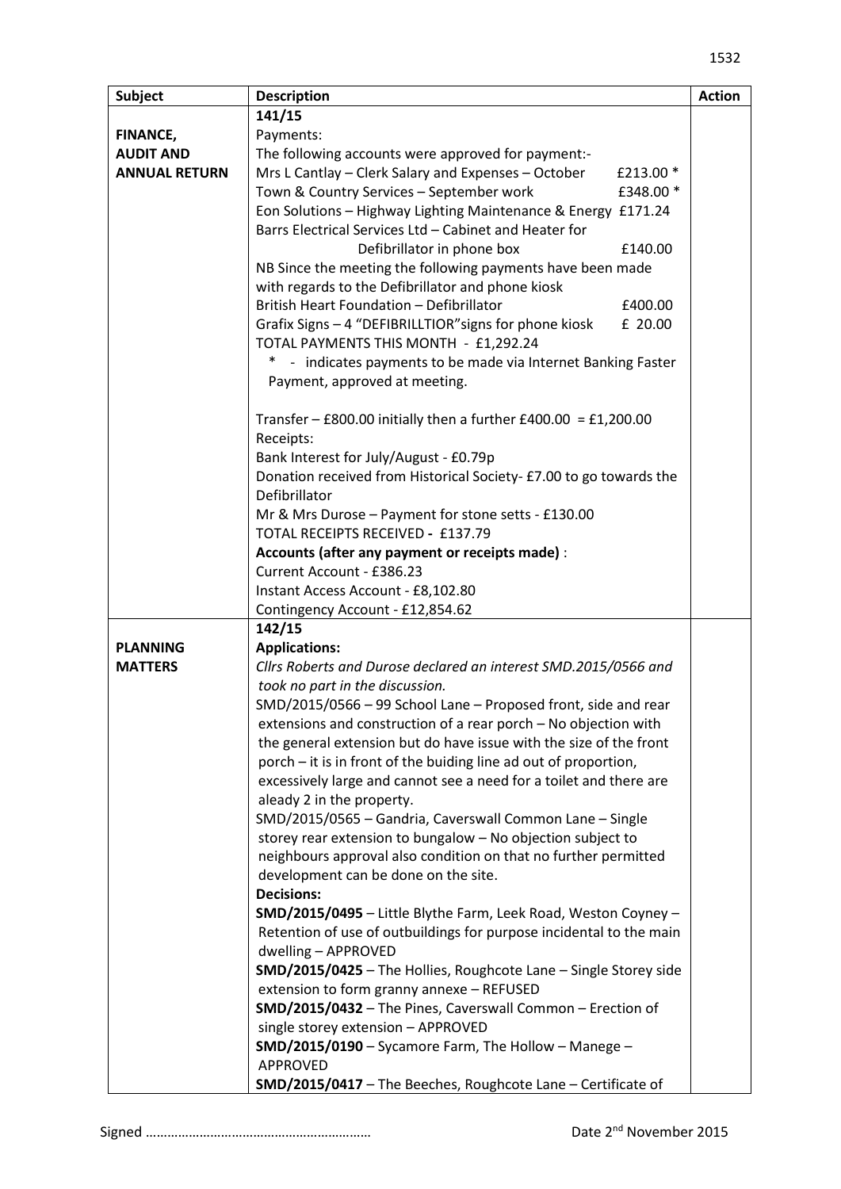| <b>Subject</b>       | <b>Description</b>                                                                                      | <b>Action</b> |  |
|----------------------|---------------------------------------------------------------------------------------------------------|---------------|--|
|                      | 141/15                                                                                                  |               |  |
| FINANCE,             | Payments:                                                                                               |               |  |
| <b>AUDIT AND</b>     | The following accounts were approved for payment:-                                                      |               |  |
| <b>ANNUAL RETURN</b> | Mrs L Cantlay - Clerk Salary and Expenses - October<br>£213.00 *                                        |               |  |
|                      | Town & Country Services - September work<br>£348.00 *                                                   |               |  |
|                      | Eon Solutions - Highway Lighting Maintenance & Energy £171.24                                           |               |  |
|                      | Barrs Electrical Services Ltd - Cabinet and Heater for                                                  |               |  |
|                      | Defibrillator in phone box<br>£140.00                                                                   |               |  |
|                      | NB Since the meeting the following payments have been made                                              |               |  |
|                      | with regards to the Defibrillator and phone kiosk                                                       |               |  |
|                      | British Heart Foundation - Defibrillator<br>£400.00                                                     |               |  |
|                      | Grafix Signs - 4 "DEFIBRILLTIOR" signs for phone kiosk<br>£ 20.00                                       |               |  |
|                      | TOTAL PAYMENTS THIS MONTH - £1,292.24                                                                   |               |  |
|                      | - indicates payments to be made via Internet Banking Faster<br>*                                        |               |  |
|                      | Payment, approved at meeting.                                                                           |               |  |
|                      |                                                                                                         |               |  |
|                      | Transfer - £800.00 initially then a further £400.00 = £1,200.00                                         |               |  |
|                      | Receipts:                                                                                               |               |  |
|                      | Bank Interest for July/August - £0.79p                                                                  |               |  |
|                      | Donation received from Historical Society- £7.00 to go towards the                                      |               |  |
|                      | Defibrillator                                                                                           |               |  |
|                      | Mr & Mrs Durose - Payment for stone setts - £130.00                                                     |               |  |
|                      | TOTAL RECEIPTS RECEIVED - £137.79                                                                       |               |  |
|                      | Accounts (after any payment or receipts made) :                                                         |               |  |
|                      | Current Account - £386.23                                                                               |               |  |
|                      | Instant Access Account - £8,102.80                                                                      |               |  |
|                      | Contingency Account - £12,854.62                                                                        |               |  |
|                      | 142/15                                                                                                  |               |  |
| <b>PLANNING</b>      | <b>Applications:</b>                                                                                    |               |  |
| <b>MATTERS</b>       | Cllrs Roberts and Durose declared an interest SMD.2015/0566 and                                         |               |  |
|                      | took no part in the discussion.                                                                         |               |  |
|                      | SMD/2015/0566 - 99 School Lane - Proposed front, side and rear                                          |               |  |
|                      | extensions and construction of a rear porch - No objection with                                         |               |  |
|                      | the general extension but do have issue with the size of the front                                      |               |  |
|                      | porch - it is in front of the buiding line ad out of proportion,                                        |               |  |
|                      | excessively large and cannot see a need for a toilet and there are                                      |               |  |
|                      | aleady 2 in the property.                                                                               |               |  |
|                      | SMD/2015/0565 - Gandria, Caverswall Common Lane - Single                                                |               |  |
|                      | storey rear extension to bungalow - No objection subject to                                             |               |  |
|                      | neighbours approval also condition on that no further permitted                                         |               |  |
|                      | development can be done on the site.                                                                    |               |  |
|                      | <b>Decisions:</b>                                                                                       |               |  |
|                      | SMD/2015/0495 - Little Blythe Farm, Leek Road, Weston Coyney -                                          |               |  |
|                      | Retention of use of outbuildings for purpose incidental to the main                                     |               |  |
|                      | dwelling - APPROVED                                                                                     |               |  |
|                      | SMD/2015/0425 - The Hollies, Roughcote Lane - Single Storey side                                        |               |  |
|                      |                                                                                                         |               |  |
|                      | extension to form granny annexe - REFUSED<br>SMD/2015/0432 - The Pines, Caverswall Common - Erection of |               |  |
|                      |                                                                                                         |               |  |
|                      | single storey extension - APPROVED                                                                      |               |  |
|                      | SMD/2015/0190 - Sycamore Farm, The Hollow - Manege -<br>APPROVED                                        |               |  |
|                      |                                                                                                         |               |  |
|                      | SMD/2015/0417 - The Beeches, Roughcote Lane - Certificate of                                            |               |  |